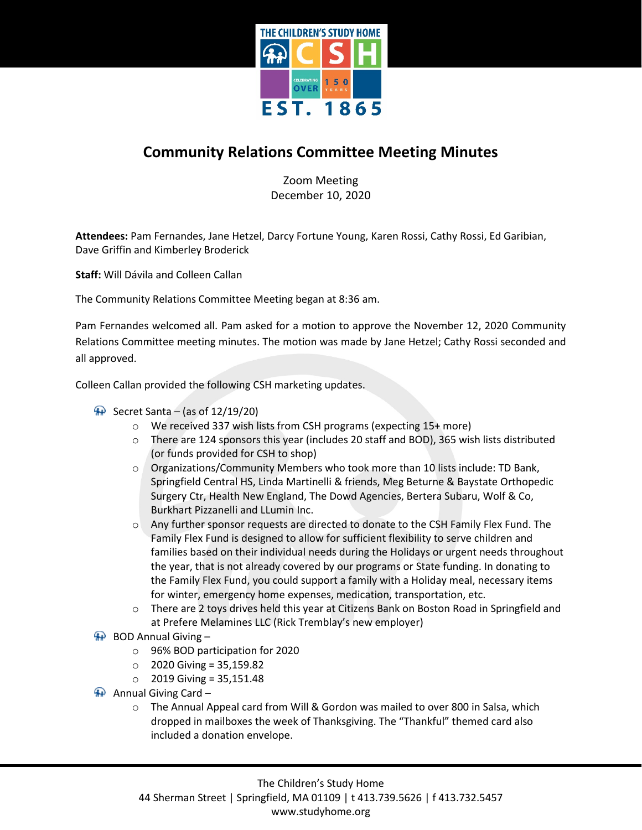

## **Community Relations Committee Meeting Minutes**

Zoom Meeting December 10, 2020

**Attendees:** Pam Fernandes, Jane Hetzel, Darcy Fortune Young, Karen Rossi, Cathy Rossi, Ed Garibian, Dave Griffin and Kimberley Broderick

**Staff:** Will Dávila and Colleen Callan

The Community Relations Committee Meeting began at 8:36 am.

Pam Fernandes welcomed all. Pam asked for a motion to approve the November 12, 2020 Community Relations Committee meeting minutes. The motion was made by Jane Hetzel; Cathy Rossi seconded and all approved.

Colleen Callan provided the following CSH marketing updates.

- $\bigoplus$  Secret Santa (as of 12/19/20)
	- o We received 337 wish lists from CSH programs (expecting 15+ more)
	- o There are 124 sponsors this year (includes 20 staff and BOD), 365 wish lists distributed (or funds provided for CSH to shop)
	- $\circ$  Organizations/Community Members who took more than 10 lists include: TD Bank, Springfield Central HS, Linda Martinelli & friends, Meg Beturne & Baystate Orthopedic Surgery Ctr, Health New England, The Dowd Agencies, Bertera Subaru, Wolf & Co, Burkhart Pizzanelli and LLumin Inc.
	- o Any further sponsor requests are directed to donate to the CSH Family Flex Fund. The Family Flex Fund is designed to allow for sufficient flexibility to serve children and families based on their individual needs during the Holidays or urgent needs throughout the year, that is not already covered by our programs or State funding. In donating to the Family Flex Fund, you could support a family with a Holiday meal, necessary items for winter, emergency home expenses, medication, transportation, etc.
	- o There are 2 toys drives held this year at Citizens Bank on Boston Road in Springfield and at Prefere Melamines LLC (Rick Tremblay's new employer)
- $\bigoplus$  BOD Annual Giving
	- o 96% BOD participation for 2020
	- $\circ$  2020 Giving = 35,159.82
	- $\circ$  2019 Giving = 35,151.48
- Annual Giving Card
	- o The Annual Appeal card from Will & Gordon was mailed to over 800 in Salsa, which dropped in mailboxes the week of Thanksgiving. The "Thankful" themed card also included a donation envelope.